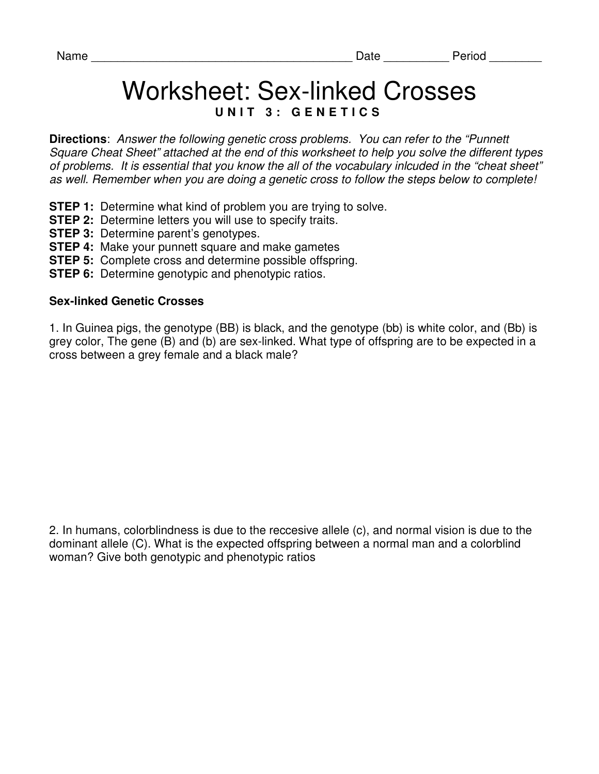## Worksheet: Sex-linked Crosses **UNIT 3: GENETICS**

**Directions**: Answer the following genetic cross problems. You can refer to the "Punnett Square Cheat Sheet" attached at the end of this worksheet to help you solve the different types of problems. It is essential that you know the all of the vocabulary inlcuded in the "cheat sheet" as well. Remember when you are doing a genetic cross to follow the steps below to complete!

- **STEP 1:** Determine what kind of problem you are trying to solve.
- **STEP 2:** Determine letters you will use to specify traits.
- **STEP 3: Determine parent's genotypes.**
- **STEP 4:** Make your punnett square and make gametes
- **STEP 5:** Complete cross and determine possible offspring.
- **STEP 6:** Determine genotypic and phenotypic ratios.

## **Sex-linked Genetic Crosses**

1. In Guinea pigs, the genotype (BB) is black, and the genotype (bb) is white color, and (Bb) is grey color, The gene (B) and (b) are sex-linked. What type of offspring are to be expected in a cross between a grey female and a black male?

2. In humans, colorblindness is due to the reccesive allele (c), and normal vision is due to the dominant allele (C). What is the expected offspring between a normal man and a colorblind woman? Give both genotypic and phenotypic ratios